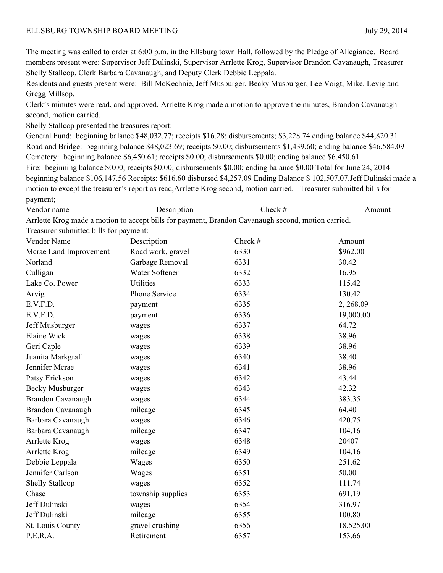## ELLSBURG TOWNSHIP BOARD MEETING July 29, 2014

The meeting was called to order at 6:00 p.m. in the Ellsburg town Hall, followed by the Pledge of Allegiance. Board members present were: Supervisor Jeff Dulinski, Supervisor Arrlette Krog, Supervisor Brandon Cavanaugh, Treasurer Shelly Stallcop, Clerk Barbara Cavanaugh, and Deputy Clerk Debbie Leppala.

Residents and guests present were: Bill McKechnie, Jeff Musburger, Becky Musburger, Lee Voigt, Mike, Levig and Gregg Millsop.

Clerk's minutes were read, and approved, Arrlette Krog made a motion to approve the minutes, Brandon Cavanaugh second, motion carried.

Shelly Stallcop presented the treasures report:

General Fund: beginning balance \$48,032.77; receipts \$16.28; disbursements; \$3,228.74 ending balance \$44,820.31 Road and Bridge: beginning balance \$48,023.69; receipts \$0.00; disbursements \$1,439.60; ending balance \$46,584.09 Cemetery: beginning balance \$6,450.61; receipts \$0.00; disbursements \$0.00; ending balance \$6,450.61 Fire: beginning balance \$0.00; receipts \$0.00; disbursements \$0.00; ending balance \$0.00 Total for June 24, 2014 beginning balance \$106,147.56 Receipts: \$616.60 disbursed \$4,257.09 Ending Balance \$ 102,507.07.Jeff Dulinski made a motion to except the treasurer's report as read,Arrlette Krog second, motion carried. Treasurer submitted bills for payment;

Vendor name Description Description Check # Amount

Arrlette Krog made a motion to accept bills for payment, Brandon Cavanaugh second, motion carried. Treasurer submitted bills for payment:

| Vender Name              | Description       | Check # | Amount    |
|--------------------------|-------------------|---------|-----------|
| Mcrae Land Improvement   | Road work, gravel | 6330    | \$962.00  |
| Norland                  | Garbage Removal   | 6331    | 30.42     |
| Culligan                 | Water Softener    | 6332    | 16.95     |
| Lake Co. Power           | <b>Utilities</b>  | 6333    | 115.42    |
| Arvig                    | Phone Service     | 6334    | 130.42    |
| E.V.F.D.                 | payment           | 6335    | 2, 268.09 |
| E.V.F.D.                 | payment           | 6336    | 19,000.00 |
| Jeff Musburger           | wages             | 6337    | 64.72     |
| <b>Elaine Wick</b>       | wages             | 6338    | 38.96     |
| Geri Caple               | wages             | 6339    | 38.96     |
| Juanita Markgraf         | wages             | 6340    | 38.40     |
| Jennifer Mcrae           | wages             | 6341    | 38.96     |
| Patsy Erickson           | wages             | 6342    | 43.44     |
| <b>Becky Musburger</b>   | wages             | 6343    | 42.32     |
| <b>Brandon Cavanaugh</b> | wages             | 6344    | 383.35    |
| Brandon Cavanaugh        | mileage           | 6345    | 64.40     |
| Barbara Cavanaugh        | wages             | 6346    | 420.75    |
| Barbara Cavanaugh        | mileage           | 6347    | 104.16    |
| Arrlette Krog            | wages             | 6348    | 20407     |
| Arrlette Krog            | mileage           | 6349    | 104.16    |
| Debbie Leppala           | Wages             | 6350    | 251.62    |
| Jennifer Carlson         | Wages             | 6351    | 50.00     |
| <b>Shelly Stallcop</b>   | wages             | 6352    | 111.74    |
| Chase                    | township supplies | 6353    | 691.19    |
| Jeff Dulinski            | wages             | 6354    | 316.97    |
| Jeff Dulinski            | mileage           | 6355    | 100.80    |
| St. Louis County         | gravel crushing   | 6356    | 18,525.00 |
| P.E.R.A.                 | Retirement        | 6357    | 153.66    |
|                          |                   |         |           |